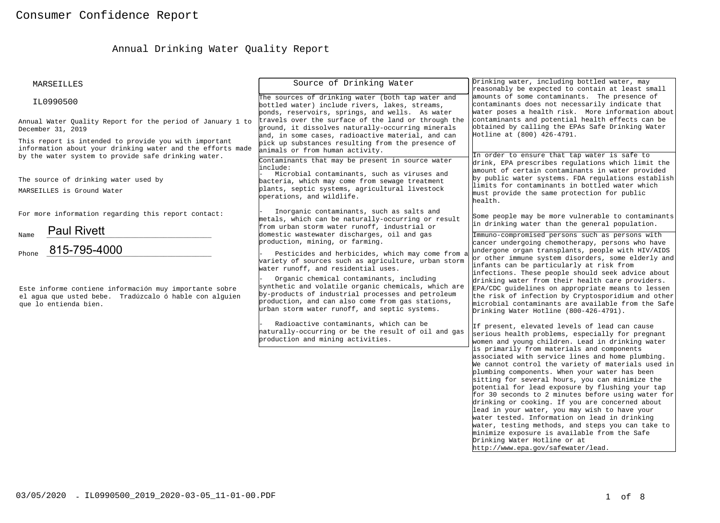# Annual Drinking Water Quality Report

| MARSEILLES                                                                                                                                                                 | Source of Drinking Water                                                                                                                                                                                                                                  | Drinking water, including bottled water, may<br>reasonably be expected to contain at least small                                                                                                                                                                                                                                                                                                                                                                                                                                                                                                                                                                                                                                                                                                                                                            |
|----------------------------------------------------------------------------------------------------------------------------------------------------------------------------|-----------------------------------------------------------------------------------------------------------------------------------------------------------------------------------------------------------------------------------------------------------|-------------------------------------------------------------------------------------------------------------------------------------------------------------------------------------------------------------------------------------------------------------------------------------------------------------------------------------------------------------------------------------------------------------------------------------------------------------------------------------------------------------------------------------------------------------------------------------------------------------------------------------------------------------------------------------------------------------------------------------------------------------------------------------------------------------------------------------------------------------|
| IL0990500                                                                                                                                                                  | The sources of drinking water (both tap water and<br>bottled water) include rivers, lakes, streams,<br>ponds, reservoirs, springs, and wells. As water                                                                                                    | amounts of some contaminants. The presence of<br>contaminants does not necessarily indicate that<br>water poses a health risk. More information about                                                                                                                                                                                                                                                                                                                                                                                                                                                                                                                                                                                                                                                                                                       |
| Annual Water Quality Report for the period of January 1 to<br>December 31, 2019                                                                                            | travels over the surface of the land or through the<br>ground, it dissolves naturally-occurring minerals<br>and, in some cases, radioactive material, and can                                                                                             | contaminants and potential health effects can be<br>obtained by calling the EPAs Safe Drinking Water<br>Hotline at (800) 426-4791.                                                                                                                                                                                                                                                                                                                                                                                                                                                                                                                                                                                                                                                                                                                          |
| This report is intended to provide you with important<br>information about your drinking water and the efforts made<br>by the water system to provide safe drinking water. | pick up substances resulting from the presence of<br>animals or from human activity.<br>Contaminants that may be present in source water                                                                                                                  | In order to ensure that tap water is safe to                                                                                                                                                                                                                                                                                                                                                                                                                                                                                                                                                                                                                                                                                                                                                                                                                |
| The source of drinking water used by<br>MARSEILLES is Ground Water                                                                                                         | linclude:<br>Microbial contaminants, such as viruses and<br>bacteria, which may come from sewage treatment<br>plants, septic systems, agricultural livestock<br>operations, and wildlife.                                                                 | drink, EPA prescribes regulations which limit the<br>amount of certain contaminants in water provided<br>by public water systems. FDA regulations establish<br>limits for contaminants in bottled water which<br>must provide the same protection for public<br>health.                                                                                                                                                                                                                                                                                                                                                                                                                                                                                                                                                                                     |
| For more information regarding this report contact:<br><b>Paul Rivett</b>                                                                                                  | Inorganic contaminants, such as salts and<br>metals, which can be naturally-occurring or result<br>from urban storm water runoff, industrial or                                                                                                           | Some people may be more vulnerable to contaminants<br>in drinking water than the general population.                                                                                                                                                                                                                                                                                                                                                                                                                                                                                                                                                                                                                                                                                                                                                        |
| Name<br>815-795-4000<br>Phone                                                                                                                                              | domestic wastewater discharges, oil and gas<br>production, mining, or farming.<br>Pesticides and herbicides, which may come from a<br>variety of sources such as agriculture, urban storm<br>water runoff, and residential uses.                          | Immuno-compromised persons such as persons with<br>cancer undergoing chemotherapy, persons who have<br>undergone organ transplants, people with HIV/AIDS<br>or other immune system disorders, some elderly and<br>infants can be particularly at risk from                                                                                                                                                                                                                                                                                                                                                                                                                                                                                                                                                                                                  |
| Este informe contiene información muy importante sobre<br>el aqua que usted bebe. Tradúzcalo ó hable con alquien<br>que lo entienda bien.                                  | Organic chemical contaminants, including<br>synthetic and volatile organic chemicals, which are<br>by-products of industrial processes and petroleum<br>production, and can also come from gas stations,<br>urban storm water runoff, and septic systems. | infections. These people should seek advice about<br>drinking water from their health care providers.<br>EPA/CDC guidelines on appropriate means to lessen<br>the risk of infection by Cryptosporidium and other<br>microbial contaminants are available from the Safe<br>Drinking Water Hotline (800-426-4791).                                                                                                                                                                                                                                                                                                                                                                                                                                                                                                                                            |
|                                                                                                                                                                            | Radioactive contaminants, which can be<br>haturally-occurring or be the result of oil and gas<br>production and mining activities.                                                                                                                        | If present, elevated levels of lead can cause<br>serious health problems, especially for pregnant<br>women and young children. Lead in drinking water<br>is primarily from materials and components<br>associated with service lines and home plumbing.<br>We cannot control the variety of materials used in<br>plumbing components. When your water has been<br>sitting for several hours, you can minimize the<br>potential for lead exposure by flushing your tap<br>for 30 seconds to 2 minutes before using water for<br>drinking or cooking. If you are concerned about<br>lead in your water, you may wish to have your<br>water tested. Information on lead in drinking<br>water, testing methods, and steps you can take to<br>minimize exposure is available from the Safe<br>Drinking Water Hotline or at<br>http://www.epa.gov/safewater/lead. |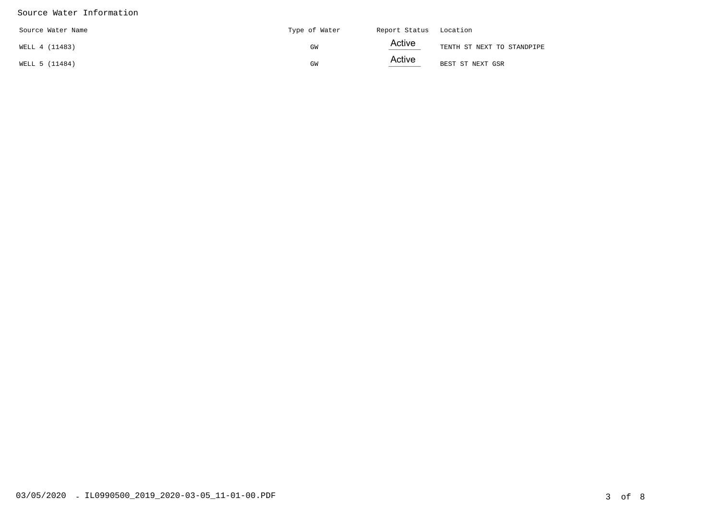#### Source Water Information

| Source Water Name | Type of Water | Report Status Location |                            |
|-------------------|---------------|------------------------|----------------------------|
| WELL 4 (11483)    | GW            | Active<br>____         | TENTH ST NEXT TO STANDPIPE |
| WELL 5 (11484)    | GW            | Active<br>_____        | BEST ST NEXT GSR           |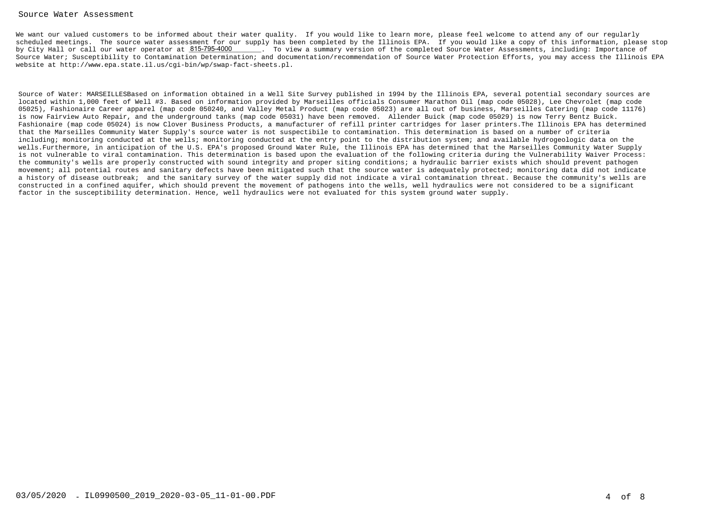#### Source Water Assessment

We want our valued customers to be informed about their water quality. If you would like to learn more, please feel welcome to attend any of our regularly scheduled meetings. The source water assessment for our supply has been completed by the Illinois EPA. If you would like a copy of this information, please stopby City Hall or call our water operator at  $815$ -795-4000  $\qquad \qquad$  . To view a summary version of the completed Source Water Assessments, including: Importance of Source Water; Susceptibility to Contamination Determination; and documentation/recommendation of Source Water Protection Efforts, you may access the Illinois EPAwebsite at http://www.epa.state.il.us/cgi-bin/wp/swap-fact-sheets.pl.

Source of Water: MARSEILLESBased on information obtained in a Well Site Survey published in 1994 by the Illinois EPA, several potential secondary sources arelocated within 1,000 feet of Well #3. Based on information provided by Marseilles officials Consumer Marathon Oil (map code 05028), Lee Chevrolet (map code 05025), Fashionaire Career apparel (map code 050240, and Valley Metal Product (map code 05023) are all out of business, Marseilles Catering (map code 11176)is now Fairview Auto Repair, and the underground tanks (map code 05031) have been removed. Allender Buick (map code 05029) is now Terry Bentz Buick. Fashionaire (map code 05024) is now Clover Business Products, a manufacturer of refill printer cartridges for laser printers.The Illinois EPA has determinedthat the Marseilles Community Water Supply's source water is not suspectibile to contamination. This determination is based on a number of criteria including; monitoring conducted at the wells; monitoring conducted at the entry point to the distribution system; and available hydrogeologic data on the wells.Furthermore, in anticipation of the U.S. EPA's proposed Ground Water Rule, the Illinois EPA has determined that the Marseilles Community Water Supply is not vulnerable to viral contamination. This determination is based upon the evaluation of the following criteria during the Vulnerability Waiver Process:the community's wells are properly constructed with sound integrity and proper siting conditions; a hydraulic barrier exists which should prevent pathogen movement; all potential routes and sanitary defects have been mitigated such that the source water is adequately protected; monitoring data did not indicate a history of disease outbreak; and the sanitary survey of the water supply did not indicate a viral contamination threat. Because the community's wells areconstructed in a confined aquifer, which should prevent the movement of pathogens into the wells, well hydraulics were not considered to be a significantfactor in the susceptibility determination. Hence, well hydraulics were not evaluated for this system ground water supply.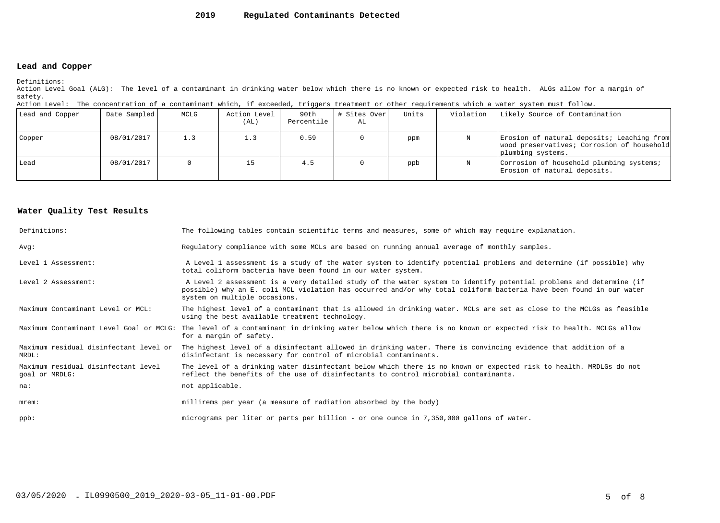#### **2019Regulated Contaminants Detected**

### **Lead and Copper**

Definitions:

 Action Level Goal (ALG): The level of a contaminant in drinking water below which there is no known or expected risk to health. ALGs allow for a margin ofsafety.

| Action Level: The concentration of a contaminant which, if exceeded, triggers treatment or other requirements which a water system must follow. |  |  |  |
|-------------------------------------------------------------------------------------------------------------------------------------------------|--|--|--|
|                                                                                                                                                 |  |  |  |

| Lead and Copper | Date Sampled | MCLG | Action Level<br>(AL) | 90th<br>Percentile | # Sites Over <br>AL | Units | Violation | Likely Source of Contamination                                                                                |
|-----------------|--------------|------|----------------------|--------------------|---------------------|-------|-----------|---------------------------------------------------------------------------------------------------------------|
| Copper          | 08/01/2017   | 1.3  |                      | 0.59               |                     | ppm   |           | Erosion of natural deposits; Leaching from<br>wood preservatives; Corrosion of household<br>plumbing systems. |
| Lead            | 08/01/2017   |      |                      | 4.5                |                     | ppb   |           | Corrosion of household plumbing systems;<br>Erosion of natural deposits.                                      |

#### **Water Quality Test Results**

| Definitions:                                          | The following tables contain scientific terms and measures, some of which may require explanation.                                                                                                                                                                         |
|-------------------------------------------------------|----------------------------------------------------------------------------------------------------------------------------------------------------------------------------------------------------------------------------------------------------------------------------|
| Avq:                                                  | Regulatory compliance with some MCLs are based on running annual average of monthly samples.                                                                                                                                                                               |
| Level 1 Assessment:                                   | A Level 1 assessment is a study of the water system to identify potential problems and determine (if possible) why<br>total coliform bacteria have been found in our water system.                                                                                         |
| Level 2 Assessment:                                   | A Level 2 assessment is a very detailed study of the water system to identify potential problems and determine (if<br>possible) why an E. coli MCL violation has occurred and/or why total coliform bacteria have been found in our water<br>system on multiple occasions. |
| Maximum Contaminant Level or MCL:                     | The highest level of a contaminant that is allowed in drinking water. MCLs are set as close to the MCLGs as feasible<br>using the best available treatment technology.                                                                                                     |
| Maximum Contaminant Level Goal or MCLG:               | The level of a contaminant in drinking water below which there is no known or expected risk to health. MCLGs allow<br>for a margin of safety.                                                                                                                              |
| Maximum residual disinfectant level or<br>MRDL:       | The highest level of a disinfectant allowed in drinking water. There is convincing evidence that addition of a<br>disinfectant is necessary for control of microbial contaminants.                                                                                         |
| Maximum residual disinfectant level<br>goal or MRDLG: | The level of a drinking water disinfectant below which there is no known or expected risk to health. MRDLGs do not<br>reflect the benefits of the use of disinfectants to control microbial contaminants.                                                                  |
| na:                                                   | not applicable.                                                                                                                                                                                                                                                            |
| $m$ rem:                                              | millirems per year (a measure of radiation absorbed by the body)                                                                                                                                                                                                           |
| $ppb$ :                                               | micrograms per liter or parts per billion - or one ounce in 7,350,000 gallons of water.                                                                                                                                                                                    |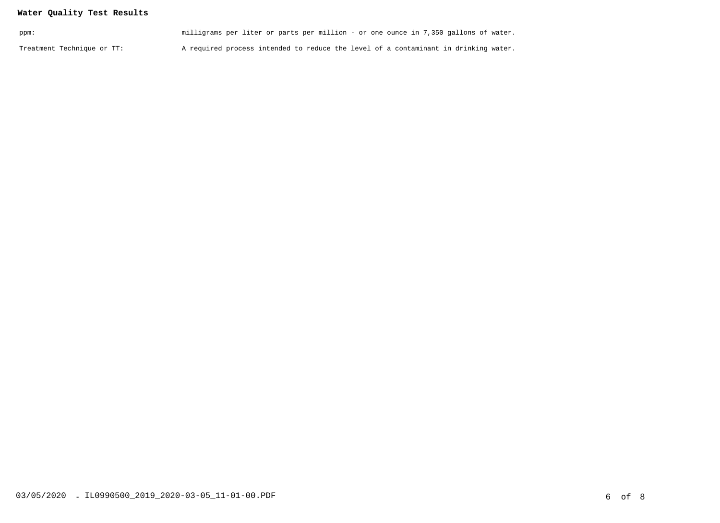## **Water Quality Test Results**

| ppm:                       | milligrams per liter or parts per million - or one ounce in 7,350 gallons of water. |  |
|----------------------------|-------------------------------------------------------------------------------------|--|
| Treatment Technique or TT: | A required process intended to reduce the level of a contaminant in drinking water. |  |